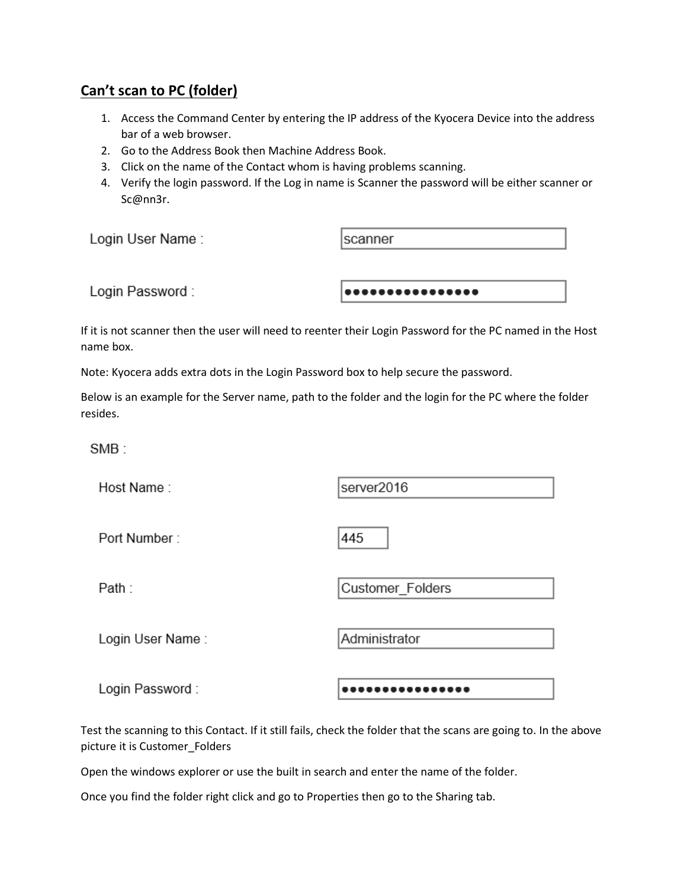## **Can't scan to PC (folder)**

- 1. Access the Command Center by entering the IP address of the Kyocera Device into the address bar of a web browser.
- 2. Go to the Address Book then Machine Address Book.
- 3. Click on the name of the Contact whom is having problems scanning.
- 4. Verify the login password. If the Log in name is Scanner the password will be either scanner or Sc@nn3r.

| Login User Name: | Iscanner          |  |
|------------------|-------------------|--|
|                  |                   |  |
| Login Password:  | ,,,,,,,,,,,,,,,,, |  |

If it is not scanner then the user will need to reenter their Login Password for the PC named in the Host name box.

Note: Kyocera adds extra dots in the Login Password box to help secure the password.

Below is an example for the Server name, path to the folder and the login for the PC where the folder resides.

445

 $SMB -$ 

Host Name:

server2016

Port Number:

Path:

Login User Name:

Administrator

Customer\_Folders

Login Password:

................

Test the scanning to this Contact. If it still fails, check the folder that the scans are going to. In the above picture it is Customer\_Folders

Open the windows explorer or use the built in search and enter the name of the folder.

Once you find the folder right click and go to Properties then go to the Sharing tab.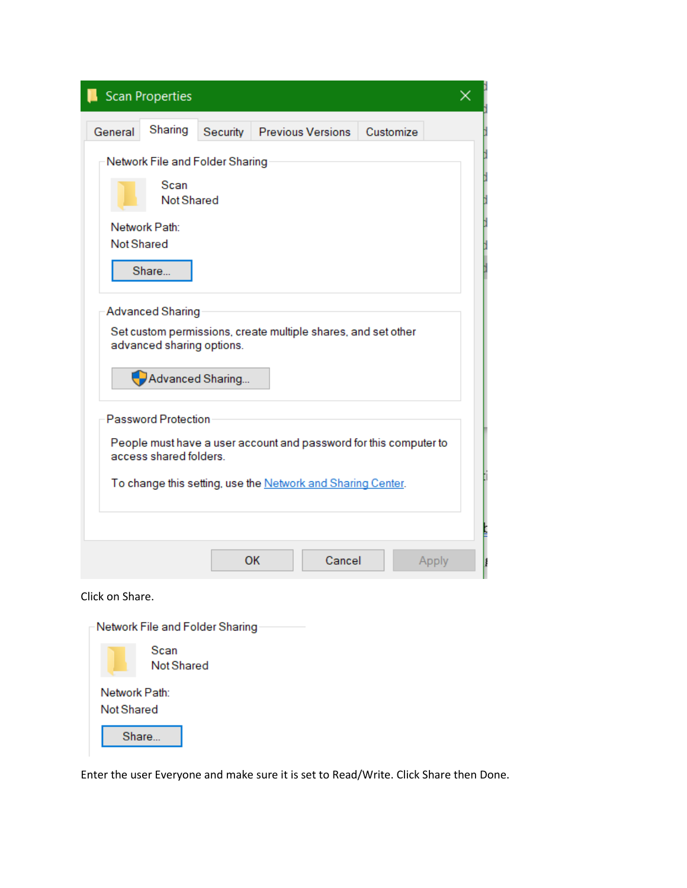|                                                             | <b>Scan Properties</b>                                                   |          |                                                                   |           | × |  |  |
|-------------------------------------------------------------|--------------------------------------------------------------------------|----------|-------------------------------------------------------------------|-----------|---|--|--|
| General                                                     | Sharing                                                                  | Security | <b>Previous Versions</b>                                          | Customize |   |  |  |
|                                                             | Network File and Folder Sharing                                          |          |                                                                   |           |   |  |  |
|                                                             | Scan<br><b>Not Shared</b>                                                |          |                                                                   |           |   |  |  |
| <b>Not Shared</b>                                           | Network Path:<br>Share                                                   |          |                                                                   |           |   |  |  |
|                                                             | <b>Advanced Sharing</b><br>advanced sharing options.<br>Advanced Sharing |          | Set custom permissions, create multiple shares, and set other     |           |   |  |  |
|                                                             | <b>Password Protection</b><br>access shared folders                      |          | People must have a user account and password for this computer to |           |   |  |  |
| To change this setting, use the Network and Sharing Center. |                                                                          |          |                                                                   |           |   |  |  |
|                                                             |                                                                          |          | OK<br>Cancel                                                      | Apply     |   |  |  |
| Click on Share.                                             |                                                                          |          |                                                                   |           |   |  |  |
|                                                             | Network File and Folder Sharing                                          |          |                                                                   |           |   |  |  |

|            | Scan<br>Not Shared |  |
|------------|--------------------|--|
| Not Shared | Network Path:      |  |
|            | Share              |  |

Enter the user Everyone and make sure it is set to Read/Write. Click Share then Done.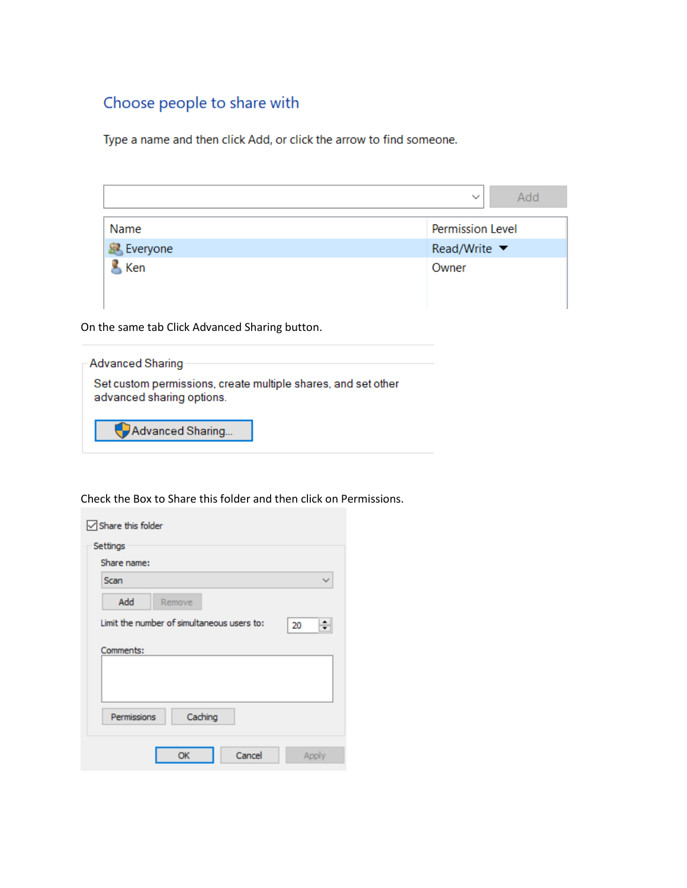# Choose people to share with

Type a name and then click Add, or click the arrow to find someone.

| $\checkmark$       |                                 | Add |
|--------------------|---------------------------------|-----|
| Name               | Permission Level                |     |
| <b>SP</b> Everyone | Read/Write $\blacktriangledown$ |     |
| Ken                | Owner                           |     |

On the same tab Click Advanced Sharing button.

| - Advanced Sharing                                                                         |  |
|--------------------------------------------------------------------------------------------|--|
| Set custom permissions, create multiple shares, and set other<br>advanced sharing options. |  |
| Advanced Sharing                                                                           |  |

Check the Box to Share this folder and then click on Permissions.

| Share this folder                          |         |
|--------------------------------------------|---------|
| Settings                                   |         |
| Share name:                                |         |
| Scan                                       |         |
| Add<br>Remove                              |         |
| Limit the number of simultaneous users to: | 20<br>≑ |
| Comments:                                  |         |
|                                            |         |
|                                            |         |
| Caching<br>Permissions                     |         |
| Cancel<br>OK                               | Apply   |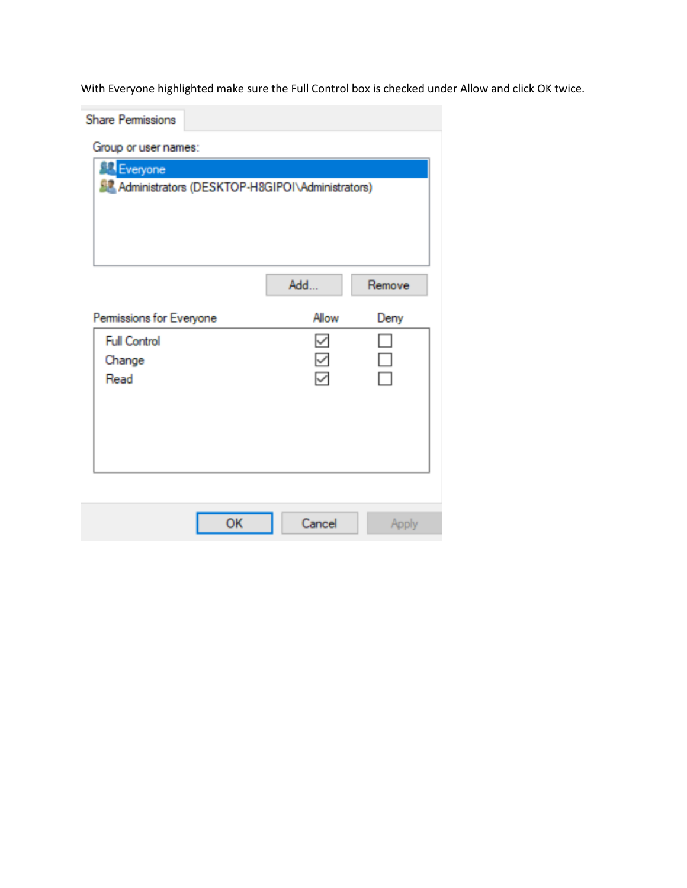With Everyone highlighted make sure the Full Control box is checked under Allow and click OK twice.

| <b>Share Permissions</b>                                  |              |        |  |  |  |
|-----------------------------------------------------------|--------------|--------|--|--|--|
| Group or user names:                                      |              |        |  |  |  |
| Everyone                                                  |              |        |  |  |  |
| <b>SZ</b> Administrators (DESKTOP-H8GIPOI\Administrators) |              |        |  |  |  |
|                                                           |              |        |  |  |  |
|                                                           |              |        |  |  |  |
|                                                           |              |        |  |  |  |
|                                                           |              |        |  |  |  |
|                                                           | Add          | Remove |  |  |  |
| Permissions for Everyone                                  | Allow        | Deny   |  |  |  |
| <b>Full Control</b>                                       | ✓            |        |  |  |  |
| Change                                                    | $\checkmark$ | Ξ      |  |  |  |
| Read                                                      | $\checkmark$ |        |  |  |  |
|                                                           |              |        |  |  |  |
|                                                           |              |        |  |  |  |
|                                                           |              |        |  |  |  |
|                                                           |              |        |  |  |  |
|                                                           |              |        |  |  |  |
|                                                           |              |        |  |  |  |
| OK                                                        | Cancel       | Apply  |  |  |  |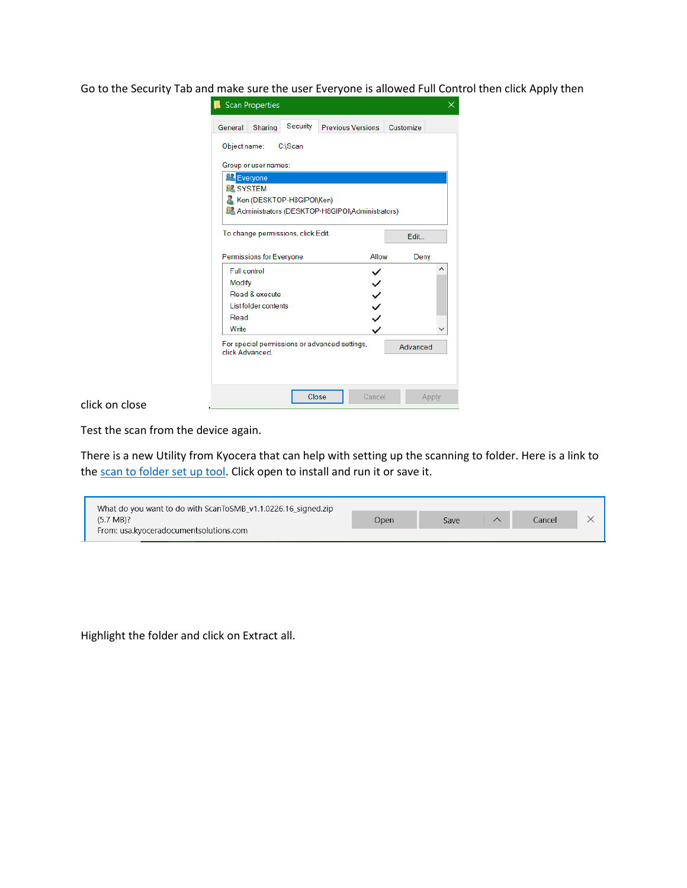Go to the Security Tab and make sure the user Everyone is allowed Full Control then click Apply then

| Sharing<br>General                                              | Security | <b>Previous Versions</b>                                  | Customize |   |
|-----------------------------------------------------------------|----------|-----------------------------------------------------------|-----------|---|
| Object name:                                                    | C:\Scan  |                                                           |           |   |
| Group or user names:                                            |          |                                                           |           |   |
| Everyone                                                        |          |                                                           |           |   |
| <b>BE SYSTEM</b>                                                |          |                                                           |           |   |
| Ken (DESKTOP-H8GIPOI\Ken)                                       |          |                                                           |           |   |
|                                                                 |          | <b>BL</b> Administrators (DESKTOP-H8GIPOI\Administrators) |           |   |
|                                                                 |          |                                                           |           |   |
| To change permissions, click Edit.                              |          |                                                           | Edit      |   |
|                                                                 |          |                                                           |           |   |
|                                                                 |          |                                                           |           |   |
| Permissions for Everyone                                        |          | Allow                                                     | Deny      |   |
| <b>Full control</b>                                             |          |                                                           |           | ́ |
| Modify                                                          |          |                                                           |           |   |
| Read & execute                                                  |          |                                                           |           |   |
| List folder contents                                            |          |                                                           |           |   |
| Read                                                            |          |                                                           |           |   |
| Write                                                           |          | くくへく                                                      |           |   |
| For special permissions or advanced settings,<br>click Advanced |          |                                                           | Advanced  |   |
|                                                                 |          |                                                           |           |   |

#### click on close .

Test the scan from the device again.

There is a new Utility from Kyocera that can help with setting up the scanning to folder. Here is a link to th[e scan to folder set up tool.](https://usa.kyoceradocumentsolutions.com/content/dam/kdc/kdag/downloads/technical/executables/utilities/kyoceradocumentsolutions/us/en/ScanToSMB_11132122.zip) Click open to install and run it or save it.

| What do you want to do with ScanToSMB v1.1.0226.16 signed.zip |      |      |        |  |
|---------------------------------------------------------------|------|------|--------|--|
| $(5.7 \text{ MB})$ ?                                          | Open | Save | Cancel |  |
| From: usa.kyoceradocumentsolutions.com                        |      |      |        |  |

Highlight the folder and click on Extract all.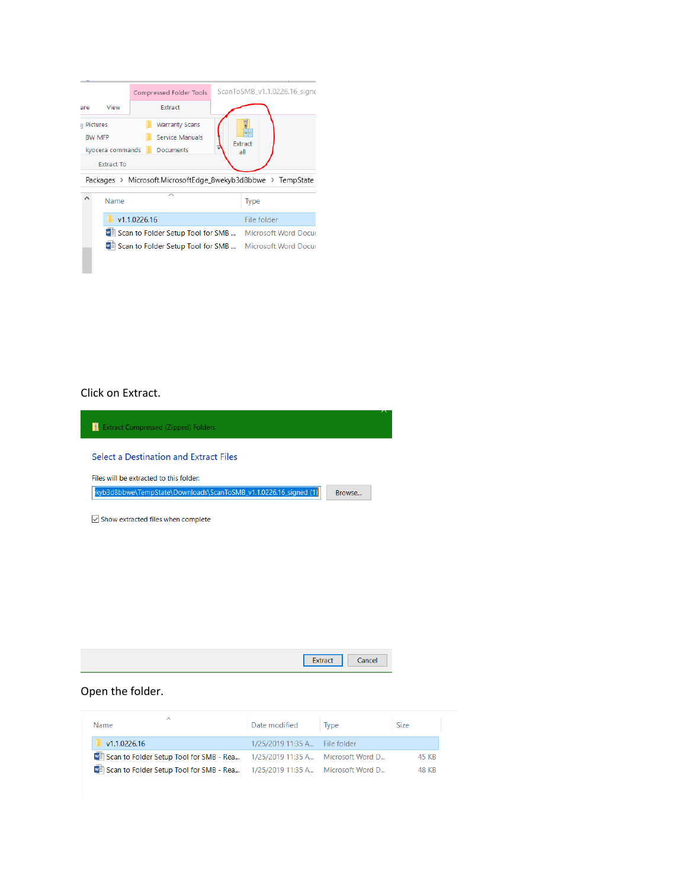|                 |                   |              | Compressed Folder Tools                                      |  | ScanToSMB_v1.1.0226.16_signe |  |
|-----------------|-------------------|--------------|--------------------------------------------------------------|--|------------------------------|--|
| are             | View              |              | Extract                                                      |  |                              |  |
| <b>Pictures</b> |                   |              | <b>Warranty Scans</b>                                        |  |                              |  |
| <b>RW MFP</b>   |                   |              | <b>Service Manuals</b>                                       |  |                              |  |
|                 | kyocera commands  |              | <b>Documents</b>                                             |  | Extract<br>all               |  |
|                 | <b>Extract To</b> |              |                                                              |  |                              |  |
|                 |                   |              | Packages > Microsoft.MicrosoftEdge 8wekyb3d8bbwe > TempState |  |                              |  |
| ⋏<br>Name       |                   |              | ⌒                                                            |  | <b>Type</b>                  |  |
|                 |                   | v1.1.0226.16 |                                                              |  | File folder                  |  |
|                 |                   |              | ■ Scan to Folder Setup Tool for SMB  Microsoft Word Docur    |  |                              |  |
|                 |                   |              | Scan to Folder Setup Tool for SMB  Microsoft Word Docur      |  |                              |  |
|                 |                   |              |                                                              |  |                              |  |
|                 |                   |              |                                                              |  |                              |  |

#### Click on Extract.



| <b>Contract and Contract Contract and</b><br>u ac. | ancel |  |
|----------------------------------------------------|-------|--|
|                                                    |       |  |

### Open the folder.

| Name.                                                                               | Date modified                 | Type | <b>Size</b> |
|-------------------------------------------------------------------------------------|-------------------------------|------|-------------|
| v1.1.0226.16                                                                        | 1/25/2019 11:35 A File folder |      |             |
| <b>M</b> Scan to Folder Setup Tool for SMB - Rea 1/25/2019 11:35 A Microsoft Word D |                               |      | 45 KB       |
| <b>N</b> Scan to Folder Setup Tool for SMB - Rea 1/25/2019 11:35 A Microsoft Word D |                               |      | 48 KB       |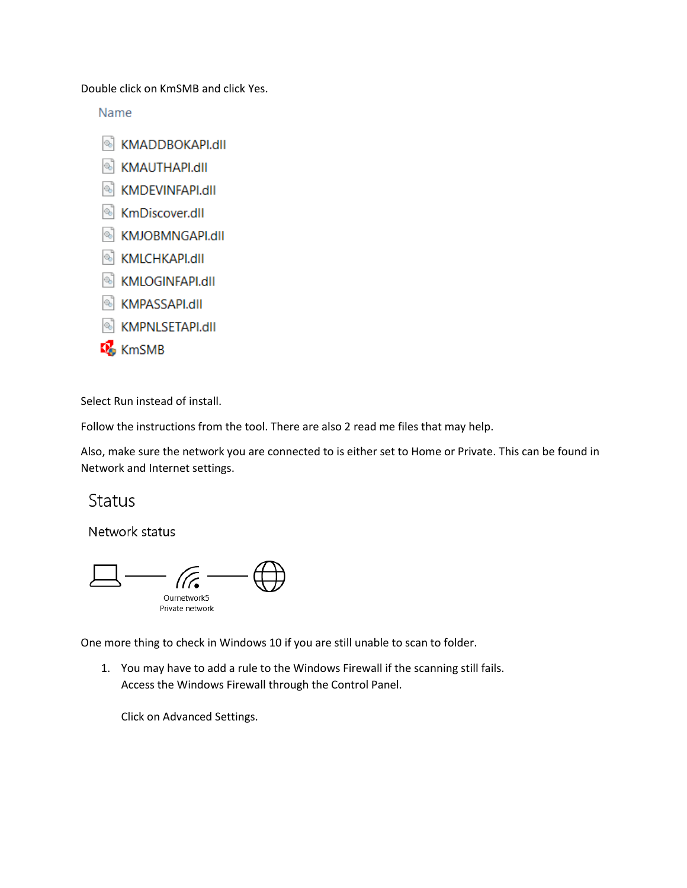Double click on KmSMB and click Yes.

Name

- KMADDBOKAPI.dll
- **N** KMAUTHAPI.dll
- KMDEVINFAPI.dll
- <sup>8</sup> KmDiscover.dll
- KMJOBMNGAPI.dll
- KMLCHKAPI.dll
- KMLOGINFAPI.dll
- KMPASSAPI.dll
- KMPNLSETAPI.dll
- KmSMB

Select Run instead of install.

Follow the instructions from the tool. There are also 2 read me files that may help.

Also, make sure the network you are connected to is either set to Home or Private. This can be found in Network and Internet settings.

## **Status**

Network status

Ournetwork5 Private network

One more thing to check in Windows 10 if you are still unable to scan to folder.

1. You may have to add a rule to the Windows Firewall if the scanning still fails. Access the Windows Firewall through the Control Panel.

Click on Advanced Settings.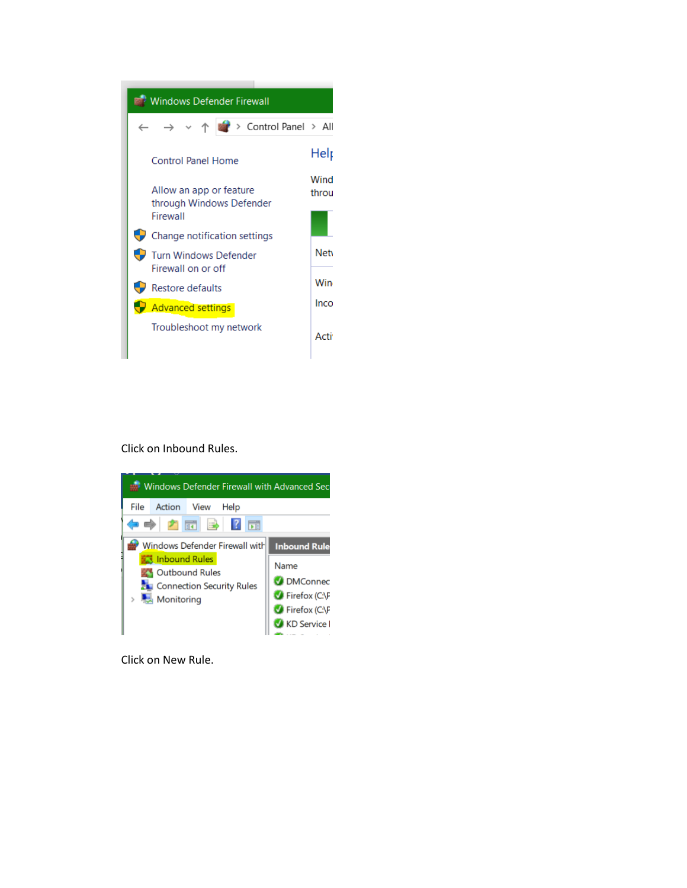

Click on Inbound Rules.



Click on New Rule.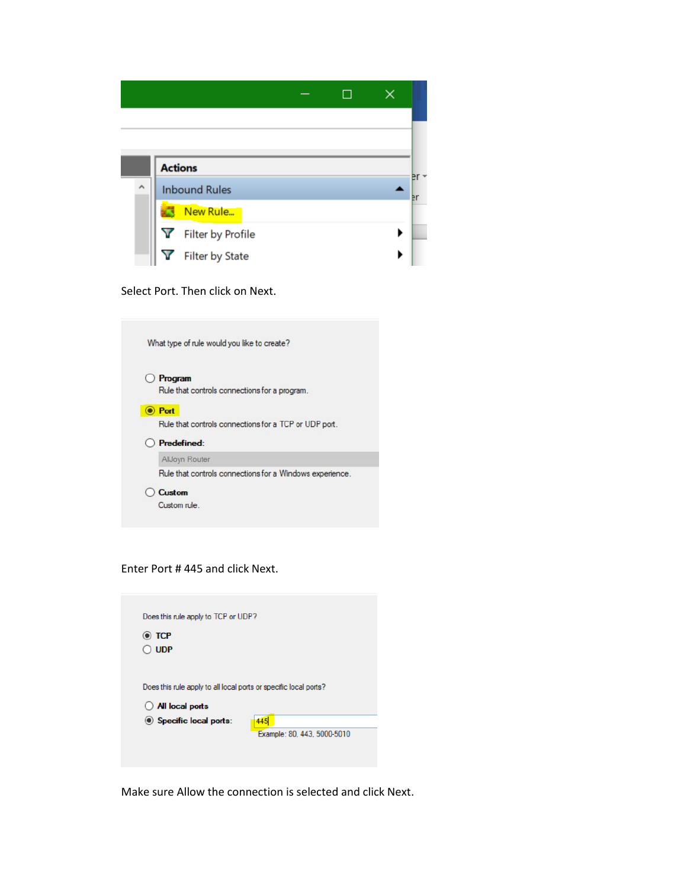

Select Port. Then click on Next.

| What type of rule would you like to create?              |
|----------------------------------------------------------|
| Program                                                  |
| Rule that controls connections for a program.            |
| <b>Port</b>                                              |
| Rule that controls connections for a TCP or UDP port.    |
| <b>Predefined:</b>                                       |
| AllJoyn Router                                           |
| Rule that controls connections for a Windows experience. |
| Custom                                                   |
| Custom rule                                              |

Enter Port # 445 and click Next.

| Does this rule apply to TCP or UDP?                                                 |                                    |
|-------------------------------------------------------------------------------------|------------------------------------|
| $\odot$ TCP<br><b>UDP</b>                                                           |                                    |
| Does this rule apply to all local ports or specific local ports?<br>All local ports |                                    |
| Specific local ports:                                                               | 445<br>Example: 80, 443, 5000-5010 |

Make sure Allow the connection is selected and click Next.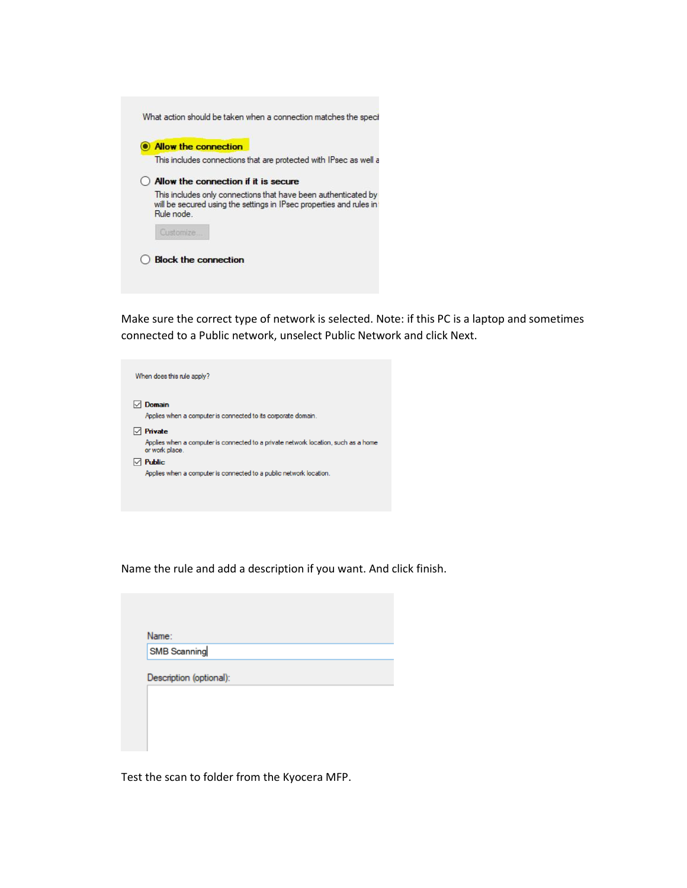| <b>Allow the connection</b>                                                                                                                        |
|----------------------------------------------------------------------------------------------------------------------------------------------------|
| This includes connections that are protected with IPsec as well a                                                                                  |
| Allow the connection if it is secure                                                                                                               |
| This includes only connections that have been authenticated by<br>will be secured using the settings in IPsec properties and rules in<br>Rule node |
| Customize.                                                                                                                                         |

Make sure the correct type of network is selected. Note: if this PC is a laptop and sometimes connected to a Public network, unselect Public Network and click Next.

| When does this rule apply?                                                                                      |
|-----------------------------------------------------------------------------------------------------------------|
| Domain<br>Applies when a computer is connected to its corporate domain.                                         |
| Private<br>Applies when a computer is connected to a private network location, such as a home<br>or work place. |
| <b>Public</b><br>Applies when a computer is connected to a public network location.                             |

Name the rule and add a description if you want. And click finish.

| Name:        |
|--------------|
| SMB Scanning |

Test the scan to folder from the Kyocera MFP.